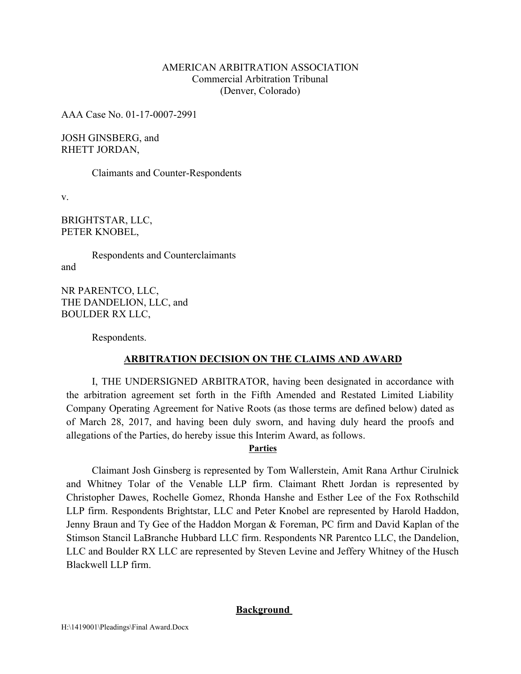### AMERICAN ARBITRATION ASSOCIATION Commercial Arbitration Tribunal (Denver, Colorado)

AAA Case No. 01-17-0007-2991

JOSH GINSBERG, and RHETT JORDAN,

Claimants and Counter-Respondents

v.

BRIGHTSTAR, LLC, PETER KNOBEL,

Respondents and Counterclaimants and

NR PARENTCO, LLC, THE DANDELION, LLC, and BOULDER RX LLC,

Respondents.

## **ARBITRATION DECISION ON THE CLAIMS AND AWARD**

I, THE UNDERSIGNED ARBITRATOR, having been designated in accordance with the arbitration agreement set forth in the Fifth Amended and Restated Limited Liability Company Operating Agreement for Native Roots (as those terms are defined below) dated as of March 28, 2017, and having been duly sworn, and having duly heard the proofs and allegations of the Parties, do hereby issue this Interim Award, as follows.

### **Parties**

Claimant Josh Ginsberg is represented by Tom Wallerstein, Amit Rana Arthur Cirulnick and Whitney Tolar of the Venable LLP firm. Claimant Rhett Jordan is represented by Christopher Dawes, Rochelle Gomez, Rhonda Hanshe and Esther Lee of the Fox Rothschild LLP firm. Respondents Brightstar, LLC and Peter Knobel are represented by Harold Haddon, Jenny Braun and Ty Gee of the Haddon Morgan & Foreman, PC firm and David Kaplan of the Stimson Stancil LaBranche Hubbard LLC firm. Respondents NR Parentco LLC, the Dandelion, LLC and Boulder RX LLC are represented by Steven Levine and Jeffery Whitney of the Husch Blackwell LLP firm.

### **Background**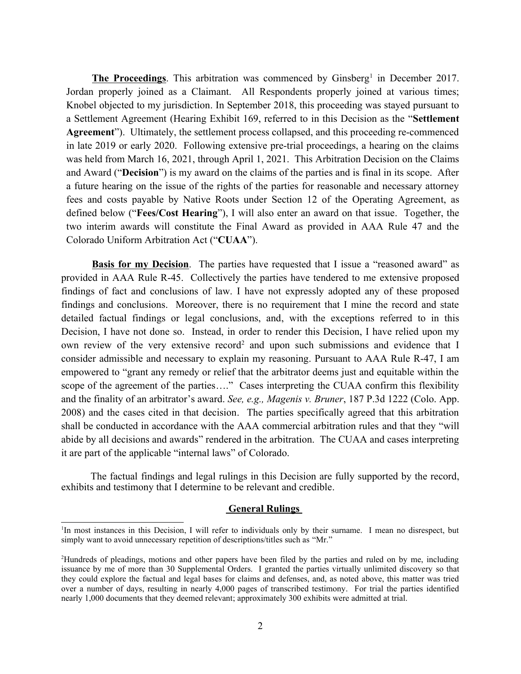**The Proceedings**. This arbitration was commenced by Ginsberg<sup>1</sup> in December 2017. Jordan properly joined as a Claimant. All Respondents properly joined at various times; Knobel objected to my jurisdiction. In September 2018, this proceeding was stayed pursuant to a Settlement Agreement (Hearing Exhibit 169, referred to in this Decision as the "**Settlement Agreement**"). Ultimately, the settlement process collapsed, and this proceeding re-commenced in late 2019 or early 2020. Following extensive pre-trial proceedings, a hearing on the claims was held from March 16, 2021, through April 1, 2021. This Arbitration Decision on the Claims and Award ("**Decision**") is my award on the claims of the parties and is final in its scope. After a future hearing on the issue of the rights of the parties for reasonable and necessary attorney fees and costs payable by Native Roots under Section 12 of the Operating Agreement, as defined below ("**Fees/Cost Hearing**"), I will also enter an award on that issue. Together, the two interim awards will constitute the Final Award as provided in AAA Rule 47 and the Colorado Uniform Arbitration Act ("**CUAA**").

**Basis for my Decision.** The parties have requested that I issue a "reasoned award" as provided in AAA Rule R-45. Collectively the parties have tendered to me extensive proposed findings of fact and conclusions of law. I have not expressly adopted any of these proposed findings and conclusions. Moreover, there is no requirement that I mine the record and state detailed factual findings or legal conclusions, and, with the exceptions referred to in this Decision, I have not done so. Instead, in order to render this Decision, I have relied upon my own review of the very extensive record<sup>2</sup> and upon such submissions and evidence that I consider admissible and necessary to explain my reasoning. Pursuant to AAA Rule R-47, I am empowered to "grant any remedy or relief that the arbitrator deems just and equitable within the scope of the agreement of the parties…." Cases interpreting the CUAA confirm this flexibility and the finality of an arbitrator's award. *See, e.g., Magenis v. Bruner*, 187 P.3d 1222 (Colo. App. 2008) and the cases cited in that decision. The parties specifically agreed that this arbitration shall be conducted in accordance with the AAA commercial arbitration rules and that they "will abide by all decisions and awards" rendered in the arbitration. The CUAA and cases interpreting it are part of the applicable "internal laws" of Colorado.

The factual findings and legal rulings in this Decision are fully supported by the record, exhibits and testimony that I determine to be relevant and credible.

#### **General Rulings**

<sup>&</sup>lt;sup>1</sup>In most instances in this Decision, I will refer to individuals only by their surname. I mean no disrespect, but simply want to avoid unnecessary repetition of descriptions/titles such as "Mr."

<sup>2</sup> Hundreds of pleadings, motions and other papers have been filed by the parties and ruled on by me, including issuance by me of more than 30 Supplemental Orders. I granted the parties virtually unlimited discovery so that they could explore the factual and legal bases for claims and defenses, and, as noted above, this matter was tried over a number of days, resulting in nearly 4,000 pages of transcribed testimony. For trial the parties identified nearly 1,000 documents that they deemed relevant; approximately 300 exhibits were admitted at trial.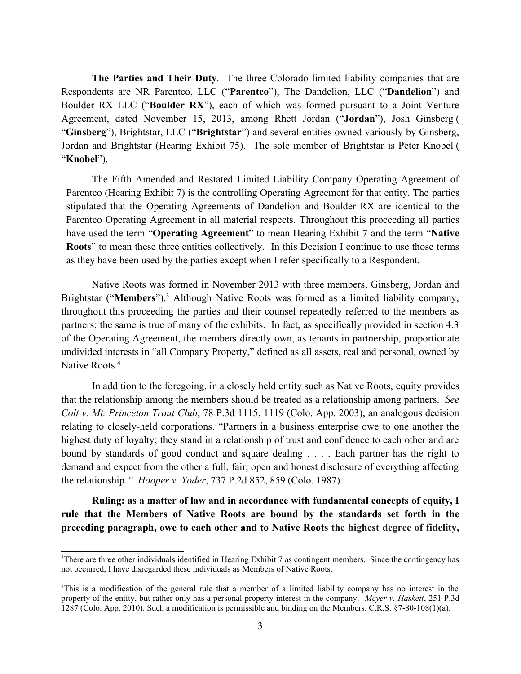**The Parties and Their Duty**. The three Colorado limited liability companies that are Respondents are NR Parentco, LLC ("**Parentco**"), The Dandelion, LLC ("**Dandelion**") and Boulder RX LLC ("**Boulder RX**"), each of which was formed pursuant to a Joint Venture Agreement, dated November 15, 2013, among Rhett Jordan ("**Jordan**"), Josh Ginsberg ( "**Ginsberg**"), Brightstar, LLC ("**Brightstar**") and several entities owned variously by Ginsberg, Jordan and Brightstar (Hearing Exhibit 75). The sole member of Brightstar is Peter Knobel ( "**Knobel**").

The Fifth Amended and Restated Limited Liability Company Operating Agreement of Parentco (Hearing Exhibit 7) is the controlling Operating Agreement for that entity. The parties stipulated that the Operating Agreements of Dandelion and Boulder RX are identical to the Parentco Operating Agreement in all material respects. Throughout this proceeding all parties have used the term "**Operating Agreement**" to mean Hearing Exhibit 7 and the term "**Native Roots**" to mean these three entities collectively. In this Decision I continue to use those terms as they have been used by the parties except when I refer specifically to a Respondent.

Native Roots was formed in November 2013 with three members, Ginsberg, Jordan and Brightstar ("**Members**"). <sup>3</sup> Although Native Roots was formed as a limited liability company, throughout this proceeding the parties and their counsel repeatedly referred to the members as partners; the same is true of many of the exhibits. In fact, as specifically provided in section 4.3 of the Operating Agreement, the members directly own, as tenants in partnership, proportionate undivided interests in "all Company Property," defined as all assets, real and personal, owned by Native Roots.<sup>4</sup>

In addition to the foregoing, in a closely held entity such as Native Roots, equity provides that the relationship among the members should be treated as a relationship among partners. *See [Colt v. Mt. Princeton Trout Club](https://plus.lexis.com/api/document/collection/cases/id/481M-CSH0-0039-42H4-00000-00?page=1119&reporter=4933&cite=78%20P.3d%201115&context=1530671)*[, 78 P.3d 1115, 1119 \(Colo. App. 2003\)](https://plus.lexis.com/api/document/collection/cases/id/481M-CSH0-0039-42H4-00000-00?page=1119&reporter=4933&cite=78%20P.3d%201115&context=1530671), an analogous decision relating to closely-held corporations. "Partners in a business enterprise owe to one another the highest duty of loyalty; they stand in a relationship of trust and confidence to each other and are bound by standards of good conduct and square dealing . . . . Each partner has the right to demand and expect from the other a full, fair, open and honest disclosure of everything affecting the relationship*." Hooper v. Yoder*, 737 P.2d 852, 859 (Colo. 1987).

**Ruling: as a matter of law and in accordance with fundamental concepts of equity, I rule that the Members of Native Roots are bound by the standards set forth in the preceding paragraph, owe to each other and to Native Roots the highest degree of fidelity,** 

<sup>3</sup> There are three other individuals identified in Hearing Exhibit 7 as contingent members. Since the contingency has not occurred, I have disregarded these individuals as Members of Native Roots.

<sup>4</sup> This is a modification of the general rule that a member of a limited liability company has no interest in the property of the entity, but rather only has a personal property interest in the company. *Meyer v. Haskett*, 251 P.3d 1287 (Colo. App. 2010). Such a modification is permissible and binding on the Members. C.R.S. §7-80-108(1)(a).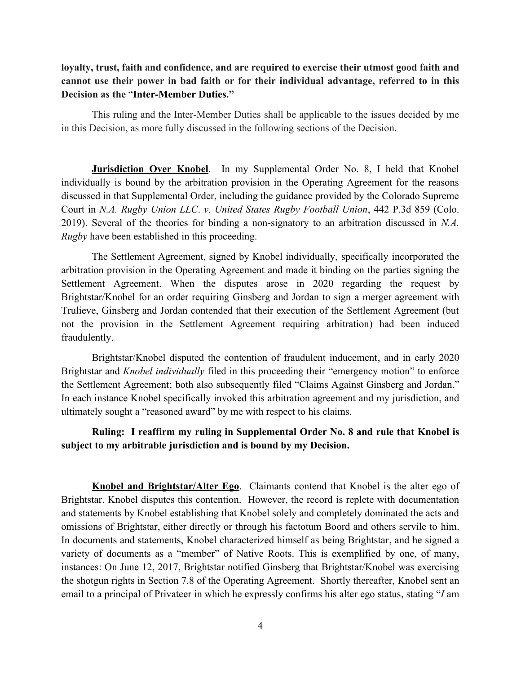# **loyalty, trust, faith and confidence, and are required to exercise their utmost good faith and cannot use their power in bad faith or for their individual advantage, referred to in this Decision as the** "**Inter-Member Duties."**

This ruling and the Inter-Member Duties shall be applicable to the issues decided by me in this Decision, as more fully discussed in the following sections of the Decision.

**Jurisdiction Over Knobel**. In my Supplemental Order No. 8, I held that Knobel individually is bound by the arbitration provision in the Operating Agreement for the reasons discussed in that Supplemental Order, including the guidance provided by the Colorado Supreme Court in *N.A. Rugby Union LLC*. *v. United States Rugby Football Union*, 442 P.3d 859 (Colo. 2019). Several of the theories for binding a non-signatory to an arbitration discussed in *N.A. Rugby* have been established in this proceeding.

The Settlement Agreement, signed by Knobel individually, specifically incorporated the arbitration provision in the Operating Agreement and made it binding on the parties signing the Settlement Agreement. When the disputes arose in 2020 regarding the request by Brightstar/Knobel for an order requiring Ginsberg and Jordan to sign a merger agreement with Trulieve, Ginsberg and Jordan contended that their execution of the Settlement Agreement (but not the provision in the Settlement Agreement requiring arbitration) had been induced fraudulently.

Brightstar/Knobel disputed the contention of fraudulent inducement, and in early 2020 Brightstar and *Knobel individually* filed in this proceeding their "emergency motion" to enforce the Settlement Agreement; both also subsequently filed "Claims Against Ginsberg and Jordan." In each instance Knobel specifically invoked this arbitration agreement and my jurisdiction, and ultimately sought a "reasoned award" by me with respect to his claims.

## **Ruling: I reaffirm my ruling in Supplemental Order No. 8 and rule that Knobel is subject to my arbitrable jurisdiction and is bound by my Decision.**

**Knobel and Brightstar/Alter Ego**. Claimants contend that Knobel is the alter ego of Brightstar. Knobel disputes this contention. However, the record is replete with documentation and statements by Knobel establishing that Knobel solely and completely dominated the acts and omissions of Brightstar, either directly or through his factotum Boord and others servile to him. In documents and statements, Knobel characterized himself as being Brightstar, and he signed a variety of documents as a "member" of Native Roots. This is exemplified by one, of many, instances: On June 12, 2017, Brightstar notified Ginsberg that Brightstar/Knobel was exercising the shotgun rights in Section 7.8 of the Operating Agreement. Shortly thereafter, Knobel sent an email to a principal of Privateer in which he expressly confirms his alter ego status, stating "*I* am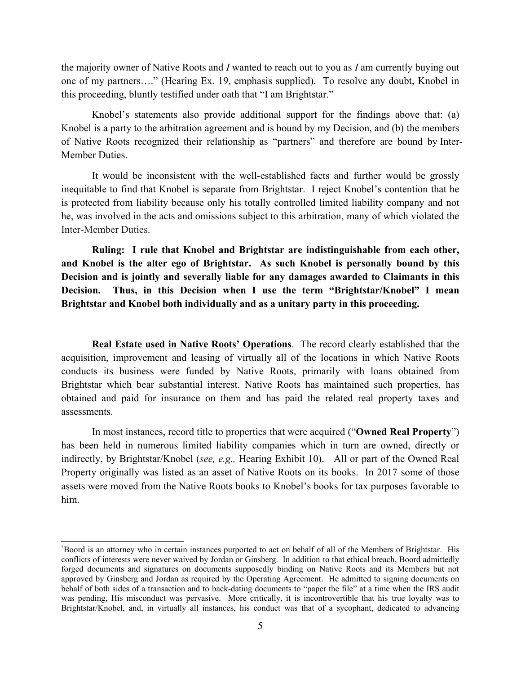the majority owner of Native Roots and *I* wanted to reach out to you as *I* am currently buying out one of my partners…." (Hearing Ex. 19, emphasis supplied). To resolve any doubt, Knobel in this proceeding, bluntly testified under oath that "I am Brightstar."

Knobel's statements also provide additional support for the findings above that: (a) Knobel is a party to the arbitration agreement and is bound by my Decision, and (b) the members of Native Roots recognized their relationship as "partners" and therefore are bound by Inter-Member Duties.

It would be inconsistent with the well-established facts and further would be grossly inequitable to find that Knobel is separate from Brightstar. I reject Knobel's contention that he is protected from liability because only his totally controlled limited liability company and not he, was involved in the acts and omissions subject to this arbitration, many of which violated the Inter-Member Duties.

**Ruling: I rule that Knobel and Brightstar are indistinguishable from each other, and Knobel is the alter ego of Brightstar. As such Knobel is personally bound by this Decision and is jointly and severally liable for any damages awarded to Claimants in this Decision. Thus, in this Decision when I use the term "Brightstar/Knobel" I mean Brightstar and Knobel both individually and as a unitary party in this proceeding.** 

**Real Estate used in Native Roots' Operations**. The record clearly established that the acquisition, improvement and leasing of virtually all of the locations in which Native Roots conducts its business were funded by Native Roots, primarily with loans obtained from Brightstar which bear substantial interest. Native Roots has maintained such properties, has obtained and paid for insurance on them and has paid the related real property taxes and assessments.

In most instances, record title to properties that were acquired ("**Owned Real Property**") has been held in numerous limited liability companies which in turn are owned, directly or indirectly, by Brightstar/Knobel (*see, e.g.,* Hearing Exhibit 10). All or part of the Owned Real Property originally was listed as an asset of Native Roots on its books. In 2017 some of those assets were moved from the Native Roots books to Knobel's books for tax purposes favorable to him.

<sup>5</sup> Boord is an attorney who in certain instances purported to act on behalf of all of the Members of Brightstar. His conflicts of interests were never waived by Jordan or Ginsberg. In addition to that ethical breach, Boord admittedly forged documents and signatures on documents supposedly binding on Native Roots and its Members but not approved by Ginsberg and Jordan as required by the Operating Agreement. He admitted to signing documents on behalf of both sides of a transaction and to back-dating documents to "paper the file" at a time when the IRS audit was pending, His misconduct was pervasive. More critically, it is incontrovertible that his true loyalty was to Brightstar/Knobel, and, in virtually all instances, his conduct was that of a sycophant, dedicated to advancing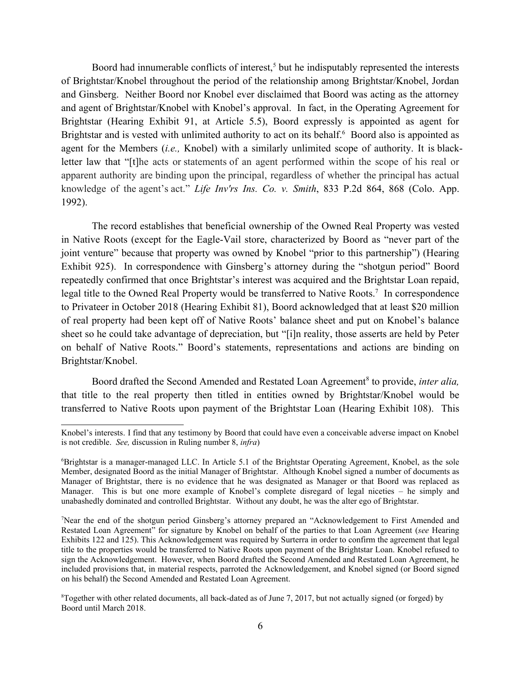Boord had innumerable conflicts of interest,<sup>5</sup> but he indisputably represented the interests of Brightstar/Knobel throughout the period of the relationship among Brightstar/Knobel, Jordan and Ginsberg. Neither Boord nor Knobel ever disclaimed that Boord was acting as the attorney and agent of Brightstar/Knobel with Knobel's approval. In fact, in the Operating Agreement for Brightstar (Hearing Exhibit 91, at Article 5.5), Boord expressly is appointed as agent for Brightstar and is vested with unlimited authority to act on its behalf.<sup>6</sup> Boord also is appointed as agent for the Members (*i.e.,* Knobel) with a similarly unlimited scope of authority. It is blackletter law that "[t]he acts or statements of an agent performed within the scope of his real or apparent authority are binding upon the principal, regardless of whether the principal has actual knowledge of the agent's act." *[Life Inv'rs Ins. Co. v. Smith](https://plus.lexis.com/api/document/collection/cases/id/3RX4-2R50-003D-94R3-00000-00?cite=833%20P.2d%20864&context=1530671)*[, 833 P.2d 864, 868 \(Colo. App.](https://plus.lexis.com/api/document/collection/cases/id/3RX4-2R50-003D-94R3-00000-00?cite=833%20P.2d%20864&context=1530671)  [1992\).](https://plus.lexis.com/api/document/collection/cases/id/3RX4-2R50-003D-94R3-00000-00?cite=833%20P.2d%20864&context=1530671)

The record establishes that beneficial ownership of the Owned Real Property was vested in Native Roots (except for the Eagle-Vail store, characterized by Boord as "never part of the joint venture" because that property was owned by Knobel "prior to this partnership") (Hearing Exhibit 925). In correspondence with Ginsberg's attorney during the "shotgun period" Boord repeatedly confirmed that once Brightstar's interest was acquired and the Brightstar Loan repaid, legal title to the Owned Real Property would be transferred to Native Roots.<sup>7</sup> In correspondence to Privateer in October 2018 (Hearing Exhibit 81), Boord acknowledged that at least \$20 million of real property had been kept off of Native Roots' balance sheet and put on Knobel's balance sheet so he could take advantage of depreciation, but "[i]n reality, those asserts are held by Peter on behalf of Native Roots." Boord's statements, representations and actions are binding on Brightstar/Knobel.

Boord drafted the Second Amended and Restated Loan Agreement<sup>8</sup> to provide, *inter alia*, that title to the real property then titled in entities owned by Brightstar/Knobel would be transferred to Native Roots upon payment of the Brightstar Loan (Hearing Exhibit 108). This

Knobel's interests. I find that any testimony by Boord that could have even a conceivable adverse impact on Knobel is not credible. *See,* discussion in Ruling number 8, *infra*)

<sup>6</sup> Brightstar is a manager-managed LLC. In Article 5.1 of the Brightstar Operating Agreement, Knobel, as the sole Member, designated Boord as the initial Manager of Brightstar. Although Knobel signed a number of documents as Manager of Brightstar, there is no evidence that he was designated as Manager or that Boord was replaced as Manager. This is but one more example of Knobel's complete disregard of legal niceties – he simply and unabashedly dominated and controlled Brightstar. Without any doubt, he was the alter ego of Brightstar.

<sup>7</sup> Near the end of the shotgun period Ginsberg's attorney prepared an "Acknowledgement to First Amended and Restated Loan Agreement" for signature by Knobel on behalf of the parties to that Loan Agreement (*see* Hearing Exhibits 122 and 125). This Acknowledgement was required by Surterra in order to confirm the agreement that legal title to the properties would be transferred to Native Roots upon payment of the Brightstar Loan. Knobel refused to sign the Acknowledgement. However, when Boord drafted the Second Amended and Restated Loan Agreement, he included provisions that, in material respects, parroted the Acknowledgement, and Knobel signed (or Boord signed on his behalf) the Second Amended and Restated Loan Agreement.

<sup>&</sup>lt;sup>8</sup>Together with other related documents, all back-dated as of June 7, 2017, but not actually signed (or forged) by Boord until March 2018.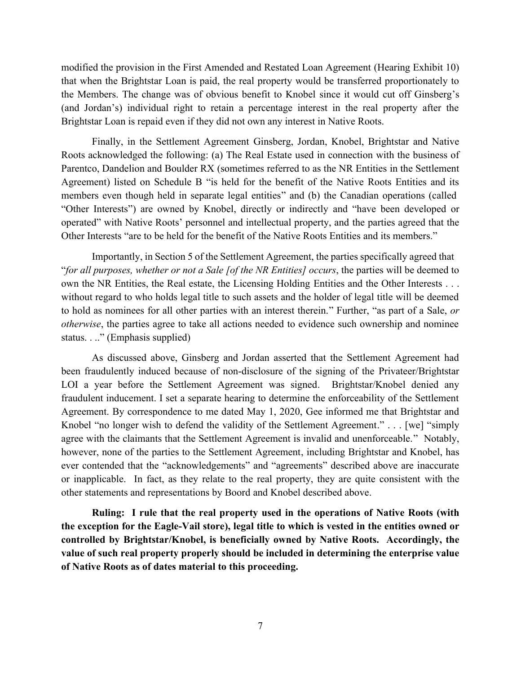modified the provision in the First Amended and Restated Loan Agreement (Hearing Exhibit 10) that when the Brightstar Loan is paid, the real property would be transferred proportionately to the Members. The change was of obvious benefit to Knobel since it would cut off Ginsberg's (and Jordan's) individual right to retain a percentage interest in the real property after the Brightstar Loan is repaid even if they did not own any interest in Native Roots.

Finally, in the Settlement Agreement Ginsberg, Jordan, Knobel, Brightstar and Native Roots acknowledged the following: (a) The Real Estate used in connection with the business of Parentco, Dandelion and Boulder RX (sometimes referred to as the NR Entities in the Settlement Agreement) listed on Schedule B "is held for the benefit of the Native Roots Entities and its members even though held in separate legal entities" and (b) the Canadian operations (called "Other Interests") are owned by Knobel, directly or indirectly and "have been developed or operated" with Native Roots' personnel and intellectual property, and the parties agreed that the Other Interests "are to be held for the benefit of the Native Roots Entities and its members."

Importantly, in Section 5 of the Settlement Agreement, the parties specifically agreed that "*for all purposes, whether or not a Sale [of the NR Entities] occurs*, the parties will be deemed to own the NR Entities, the Real estate, the Licensing Holding Entities and the Other Interests . . . without regard to who holds legal title to such assets and the holder of legal title will be deemed to hold as nominees for all other parties with an interest therein." Further, "as part of a Sale, *or otherwise*, the parties agree to take all actions needed to evidence such ownership and nominee status. . .." (Emphasis supplied)

As discussed above, Ginsberg and Jordan asserted that the Settlement Agreement had been fraudulently induced because of non-disclosure of the signing of the Privateer/Brightstar LOI a year before the Settlement Agreement was signed. Brightstar/Knobel denied any fraudulent inducement. I set a separate hearing to determine the enforceability of the Settlement Agreement. By correspondence to me dated May 1, 2020, Gee informed me that Brightstar and Knobel "no longer wish to defend the validity of the Settlement Agreement." . . . [we] "simply agree with the claimants that the Settlement Agreement is invalid and unenforceable." Notably, however, none of the parties to the Settlement Agreement, including Brightstar and Knobel, has ever contended that the "acknowledgements" and "agreements" described above are inaccurate or inapplicable. In fact, as they relate to the real property, they are quite consistent with the other statements and representations by Boord and Knobel described above.

**Ruling: I rule that the real property used in the operations of Native Roots (with the exception for the Eagle-Vail store), legal title to which is vested in the entities owned or controlled by Brightstar/Knobel, is beneficially owned by Native Roots. Accordingly, the value of such real property properly should be included in determining the enterprise value of Native Roots as of dates material to this proceeding.**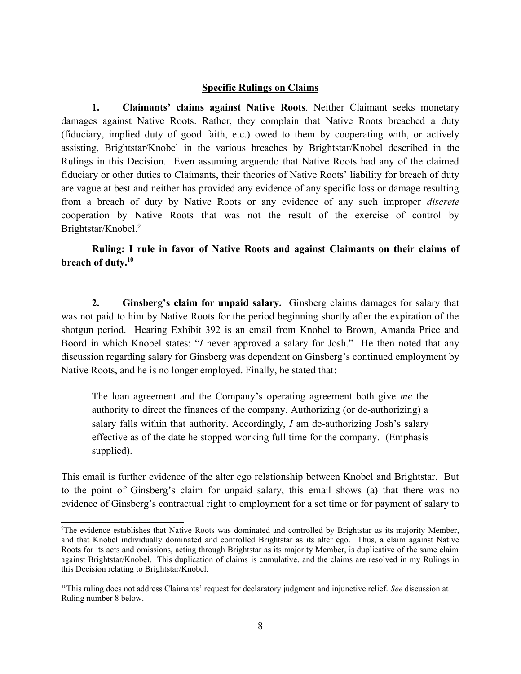#### **Specific Rulings on Claims**

**1. Claimants' claims against Native Roots**. Neither Claimant seeks monetary damages against Native Roots. Rather, they complain that Native Roots breached a duty (fiduciary, implied duty of good faith, etc.) owed to them by cooperating with, or actively assisting, Brightstar/Knobel in the various breaches by Brightstar/Knobel described in the Rulings in this Decision. Even assuming arguendo that Native Roots had any of the claimed fiduciary or other duties to Claimants, their theories of Native Roots' liability for breach of duty are vague at best and neither has provided any evidence of any specific loss or damage resulting from a breach of duty by Native Roots or any evidence of any such improper *discrete* cooperation by Native Roots that was not the result of the exercise of control by Brightstar/Knobel. 9

# **Ruling: I rule in favor of Native Roots and against Claimants on their claims of breach of duty. 10**

**2. Ginsberg's claim for unpaid salary.** Ginsberg claims damages for salary that was not paid to him by Native Roots for the period beginning shortly after the expiration of the shotgun period. Hearing Exhibit 392 is an email from Knobel to Brown, Amanda Price and Boord in which Knobel states: "*I* never approved a salary for Josh." He then noted that any discussion regarding salary for Ginsberg was dependent on Ginsberg's continued employment by Native Roots, and he is no longer employed. Finally, he stated that:

The loan agreement and the Company's operating agreement both give *me* the authority to direct the finances of the company. Authorizing (or de-authorizing) a salary falls within that authority. Accordingly, *I* am de-authorizing Josh's salary effective as of the date he stopped working full time for the company. (Emphasis supplied).

This email is further evidence of the alter ego relationship between Knobel and Brightstar. But to the point of Ginsberg's claim for unpaid salary, this email shows (a) that there was no evidence of Ginsberg's contractual right to employment for a set time or for payment of salary to

<sup>9</sup> The evidence establishes that Native Roots was dominated and controlled by Brightstar as its majority Member, and that Knobel individually dominated and controlled Brightstar as its alter ego. Thus, a claim against Native Roots for its acts and omissions, acting through Brightstar as its majority Member, is duplicative of the same claim against Brightstar/Knobel. This duplication of claims is cumulative, and the claims are resolved in my Rulings in this Decision relating to Brightstar/Knobel.

<sup>10</sup>This ruling does not address Claimants' request for declaratory judgment and injunctive relief. *See* discussion at Ruling number 8 below.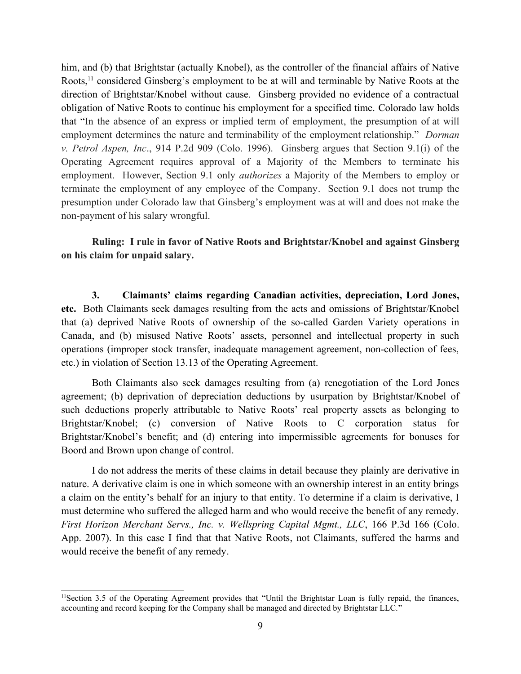him, and (b) that Brightstar (actually Knobel), as the controller of the financial affairs of Native Roots,<sup>11</sup> considered Ginsberg's employment to be at will and terminable by Native Roots at the direction of Brightstar/Knobel without cause. Ginsberg provided no evidence of a contractual obligation of Native Roots to continue his employment for a specified time. Colorado law holds that "In the absence of an express or implied term of employment, the presumption of at will employment determines the nature and terminability of the employment relationship." *Dorman v. Petrol Aspen, Inc*., 914 P.2d 909 (Colo. 1996). Ginsberg argues that Section 9.1(i) of the Operating Agreement requires approval of a Majority of the Members to terminate his employment. However, Section 9.1 only *authorizes* a Majority of the Members to employ or terminate the employment of any employee of the Company. Section 9.1 does not trump the presumption under Colorado law that Ginsberg's employment was at will and does not make the non-payment of his salary wrongful.

**Ruling: I rule in favor of Native Roots and Brightstar/Knobel and against Ginsberg on his claim for unpaid salary.**

**3. Claimants' claims regarding Canadian activities, depreciation, Lord Jones, etc.** Both Claimants seek damages resulting from the acts and omissions of Brightstar/Knobel that (a) deprived Native Roots of ownership of the so-called Garden Variety operations in Canada, and (b) misused Native Roots' assets, personnel and intellectual property in such operations (improper stock transfer, inadequate management agreement, non-collection of fees, etc.) in violation of Section 13.13 of the Operating Agreement.

Both Claimants also seek damages resulting from (a) renegotiation of the Lord Jones agreement; (b) deprivation of depreciation deductions by usurpation by Brightstar/Knobel of such deductions properly attributable to Native Roots' real property assets as belonging to Brightstar/Knobel; (c) conversion of Native Roots to C corporation status for Brightstar/Knobel's benefit; and (d) entering into impermissible agreements for bonuses for Boord and Brown upon change of control.

I do not address the merits of these claims in detail because they plainly are derivative in nature. A derivative claim is one in which someone with an ownership interest in an entity brings a claim on the entity's behalf for an injury to that entity. To determine if a claim is derivative, I must determine who suffered the alleged harm and who would receive the benefit of any remedy. *First Horizon Merchant Servs., Inc. v. Wellspring Capital Mgmt., LLC*, 166 P.3d 166 (Colo. App. 2007). In this case I find that that Native Roots, not Claimants, suffered the harms and would receive the benefit of any remedy.

<sup>&</sup>lt;sup>11</sup>Section 3.5 of the Operating Agreement provides that "Until the Brightstar Loan is fully repaid, the finances, accounting and record keeping for the Company shall be managed and directed by Brightstar LLC."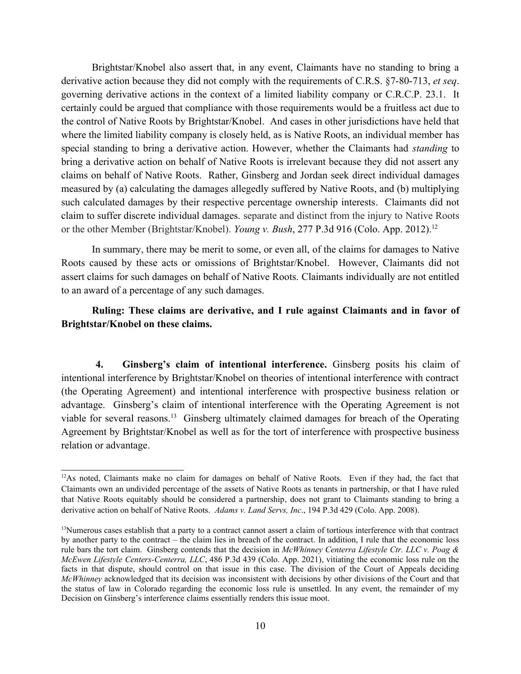Brightstar/Knobel also assert that, in any event, Claimants have no standing to bring a derivative action because they did not comply with the requirements of C.R.S. §7-80-713, *et seq*. governing derivative actions in the context of a limited liability company or C.R.C.P. 23.1. It certainly could be argued that compliance with those requirements would be a fruitless act due to the control of Native Roots by Brightstar/Knobel. And cases in other jurisdictions have held that where the limited liability company is closely held, as is Native Roots, an individual member has special standing to bring a derivative action. However, whether the Claimants had *standing* to bring a derivative action on behalf of Native Roots is irrelevant because they did not assert any claims on behalf of Native Roots. Rather, Ginsberg and Jordan seek direct individual damages measured by (a) calculating the damages allegedly suffered by Native Roots, and (b) multiplying such calculated damages by their respective percentage ownership interests. Claimants did not claim to suffer discrete individual damages. separate and distinct from the injury to Native Roots or the other Member (Brightstar/Knobel). *[Young v. Bush](https://plus.lexis.com/api/document/collection/cases/id/5560-CW01-F04C-10DP-00000-00?cite=2012%20COA%2047&context=1530671)*[, 277 P.3d 916](https://plus.lexis.com/api/document/collection/cases/id/5560-CW01-F04C-10DP-00000-00?cite=2012%20COA%2047&context=1530671) (Colo. App. 2012).<sup>12</sup>

In summary, there may be merit to some, or even all, of the claims for damages to Native Roots caused by these acts or omissions of Brightstar/Knobel. However, Claimants did not assert claims for such damages on behalf of Native Roots. Claimants individually are not entitled to an award of a percentage of any such damages.

# **Ruling: These claims are derivative, and I rule against Claimants and in favor of Brightstar/Knobel on these claims.**

**4. Ginsberg's claim of intentional interference.** Ginsberg posits his claim of intentional interference by Brightstar/Knobel on theories of intentional interference with contract (the Operating Agreement) and intentional interference with prospective business relation or advantage. Ginsberg's claim of intentional interference with the Operating Agreement is not viable for several reasons. 13 Ginsberg ultimately claimed damages for breach of the Operating Agreement by Brightstar/Knobel as well as for the tort of interference with prospective business relation or advantage.

<sup>&</sup>lt;sup>12</sup>As noted, Claimants make no claim for damages on behalf of Native Roots. Even if they had, the fact that Claimants own an undivided percentage of the assets of Native Roots as tenants in partnership, or that I have ruled that Native Roots equitably should be considered a partnership, does not grant to Claimants standing to bring a derivative action on behalf of Native Roots. *Adams v. Land Servs, Inc*., 194 P.3d 429 (Colo. App. 2008).

<sup>&</sup>lt;sup>13</sup>Numerous cases establish that a party to a contract cannot assert a claim of tortious interference with that contract by another party to the contract – the claim lies in breach of the contract. In addition, I rule that the economic loss rule bars the tort claim. Ginsberg contends that the decision in *McWhinney Centerra Lifestyle Ctr. LLC v. Poag & McEwen Lifestyle Centers-Centerra, LLC*, 486 P.3d 439 (Colo. App. 2021), vitiating the economic loss rule on the facts in that dispute, should control on that issue in this case. The division of the Court of Appeals deciding *McWhinney* acknowledged that its decision was inconsistent with decisions by other divisions of the Court and that the status of law in Colorado regarding the economic loss rule is unsettled. In any event, the remainder of my Decision on Ginsberg's interference claims essentially renders this issue moot.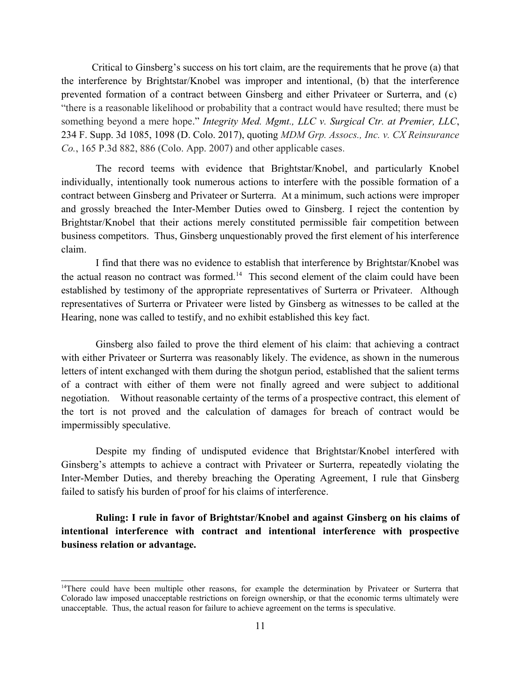Critical to Ginsberg's success on his tort claim, are the requirements that he prove (a) that the interference by Brightstar/Knobel was improper and intentional, (b) that the interference prevented formation of a contract between Ginsberg and either Privateer or Surterra, and (c) "there is a reasonable likelihood or probability that a contract would have resulted; there must be something beyond a mere hope." *[Integrity Med. Mgmt., LLC v. Surgical Ctr. at Premier, LLC](https://plus.lexis.com/api/document/collection/cases/id/5MS4-7DB1-F04C-V0JV-00000-00?cite=234%20F.%20Supp.%203d%201085&context=1530671)*[,](https://plus.lexis.com/api/document/collection/cases/id/5MS4-7DB1-F04C-V0JV-00000-00?cite=234%20F.%20Supp.%203d%201085&context=1530671)  [234 F. Supp. 3d 1085, 1098 \(D. Colo. 2017\)](https://plus.lexis.com/api/document/collection/cases/id/5MS4-7DB1-F04C-V0JV-00000-00?cite=234%20F.%20Supp.%203d%201085&context=1530671), quoting *MDM Grp. Assocs., Inc. v. CX Reinsurance Co.*, 165 P.3d 882, 886 (Colo. App. 2007) and other applicable cases.

The record teems with evidence that Brightstar/Knobel, and particularly Knobel individually, intentionally took numerous actions to interfere with the possible formation of a contract between Ginsberg and Privateer or Surterra. At a minimum, such actions were improper and grossly breached the Inter-Member Duties owed to Ginsberg. I reject the contention by Brightstar/Knobel that their actions merely constituted permissible fair competition between business competitors. Thus, Ginsberg unquestionably proved the first element of his interference claim.

I find that there was no evidence to establish that interference by Brightstar/Knobel was the actual reason no contract was formed.<sup>14</sup> This second element of the claim could have been established by testimony of the appropriate representatives of Surterra or Privateer. Although representatives of Surterra or Privateer were listed by Ginsberg as witnesses to be called at the Hearing, none was called to testify, and no exhibit established this key fact.

Ginsberg also failed to prove the third element of his claim: that achieving a contract with either Privateer or Surterra was reasonably likely. The evidence, as shown in the numerous letters of intent exchanged with them during the shotgun period, established that the salient terms of a contract with either of them were not finally agreed and were subject to additional negotiation. Without reasonable certainty of the terms of a prospective contract, this element of the tort is not proved and the calculation of damages for breach of contract would be impermissibly speculative.

Despite my finding of undisputed evidence that Brightstar/Knobel interfered with Ginsberg's attempts to achieve a contract with Privateer or Surterra, repeatedly violating the Inter-Member Duties, and thereby breaching the Operating Agreement, I rule that Ginsberg failed to satisfy his burden of proof for his claims of interference.

**Ruling: I rule in favor of Brightstar/Knobel and against Ginsberg on his claims of intentional interference with contract and intentional interference with prospective business relation or advantage.**

<sup>&</sup>lt;sup>14</sup>There could have been multiple other reasons, for example the determination by Privateer or Surterra that Colorado law imposed unacceptable restrictions on foreign ownership, or that the economic terms ultimately were unacceptable. Thus, the actual reason for failure to achieve agreement on the terms is speculative.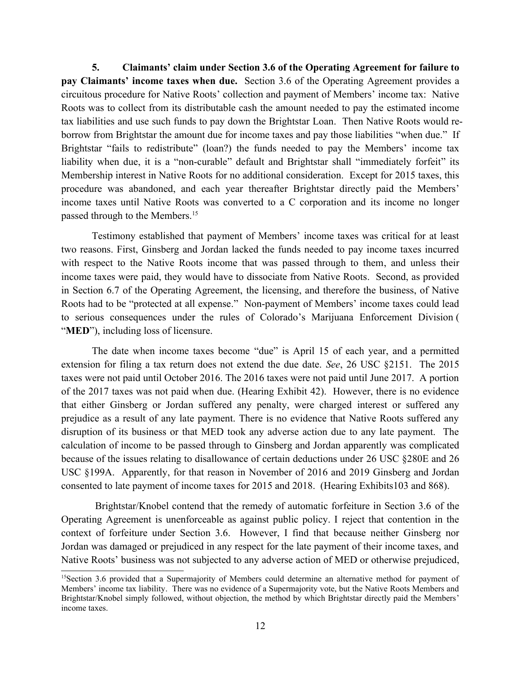**5. Claimants' claim under Section 3.6 of the Operating Agreement for failure to pay Claimants' income taxes when due.** Section 3.6 of the Operating Agreement provides a circuitous procedure for Native Roots' collection and payment of Members' income tax: Native Roots was to collect from its distributable cash the amount needed to pay the estimated income tax liabilities and use such funds to pay down the Brightstar Loan. Then Native Roots would reborrow from Brightstar the amount due for income taxes and pay those liabilities "when due." If Brightstar "fails to redistribute" (loan?) the funds needed to pay the Members' income tax liability when due, it is a "non-curable" default and Brightstar shall "immediately forfeit" its Membership interest in Native Roots for no additional consideration. Except for 2015 taxes, this procedure was abandoned, and each year thereafter Brightstar directly paid the Members' income taxes until Native Roots was converted to a C corporation and its income no longer passed through to the Members.<sup>15</sup>

Testimony established that payment of Members' income taxes was critical for at least two reasons. First, Ginsberg and Jordan lacked the funds needed to pay income taxes incurred with respect to the Native Roots income that was passed through to them, and unless their income taxes were paid, they would have to dissociate from Native Roots. Second, as provided in Section 6.7 of the Operating Agreement, the licensing, and therefore the business, of Native Roots had to be "protected at all expense." Non-payment of Members' income taxes could lead to serious consequences under the rules of Colorado's Marijuana Enforcement Division ( "**MED**"), including loss of licensure.

The date when income taxes become "due" is April 15 of each year, and a permitted extension for filing a tax return does not extend the due date. *See*, 26 USC §2151. The 2015 taxes were not paid until October 2016. The 2016 taxes were not paid until June 2017. A portion of the 2017 taxes was not paid when due. (Hearing Exhibit 42). However, there is no evidence that either Ginsberg or Jordan suffered any penalty, were charged interest or suffered any prejudice as a result of any late payment. There is no evidence that Native Roots suffered any disruption of its business or that MED took any adverse action due to any late payment. The calculation of income to be passed through to Ginsberg and Jordan apparently was complicated because of the issues relating to disallowance of certain deductions under 26 USC §280E and 26 USC §199A. Apparently, for that reason in November of 2016 and 2019 Ginsberg and Jordan consented to late payment of income taxes for 2015 and 2018. (Hearing Exhibits103 and 868).

 Brightstar/Knobel contend that the remedy of automatic forfeiture in Section 3.6 of the Operating Agreement is unenforceable as against public policy. I reject that contention in the context of forfeiture under Section 3.6. However, I find that because neither Ginsberg nor Jordan was damaged or prejudiced in any respect for the late payment of their income taxes, and Native Roots' business was not subjected to any adverse action of MED or otherwise prejudiced,

<sup>&</sup>lt;sup>15</sup>Section 3.6 provided that a Supermajority of Members could determine an alternative method for payment of Members' income tax liability. There was no evidence of a Supermajority vote, but the Native Roots Members and Brightstar/Knobel simply followed, without objection, the method by which Brightstar directly paid the Members' income taxes.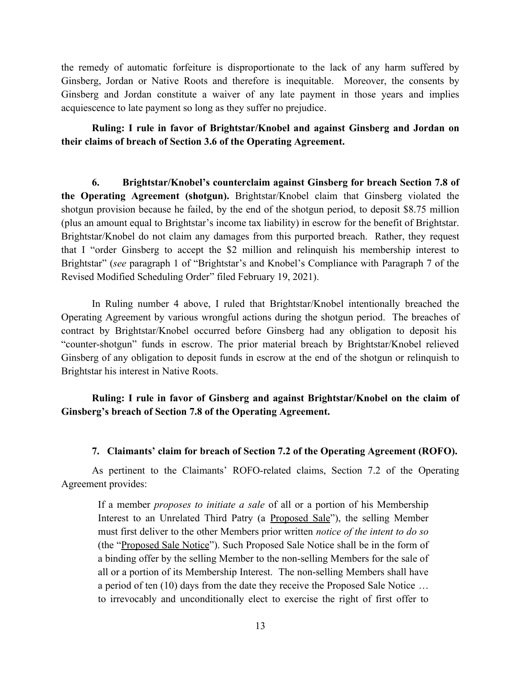the remedy of automatic forfeiture is disproportionate to the lack of any harm suffered by Ginsberg, Jordan or Native Roots and therefore is inequitable. Moreover, the consents by Ginsberg and Jordan constitute a waiver of any late payment in those years and implies acquiescence to late payment so long as they suffer no prejudice.

**Ruling: I rule in favor of Brightstar/Knobel and against Ginsberg and Jordan on their claims of breach of Section 3.6 of the Operating Agreement.**

**6. Brightstar/Knobel's counterclaim against Ginsberg for breach Section 7.8 of the Operating Agreement (shotgun).** Brightstar/Knobel claim that Ginsberg violated the shotgun provision because he failed, by the end of the shotgun period, to deposit \$8.75 million (plus an amount equal to Brightstar's income tax liability) in escrow for the benefit of Brightstar. Brightstar/Knobel do not claim any damages from this purported breach. Rather, they request that I "order Ginsberg to accept the \$2 million and relinquish his membership interest to Brightstar" (*see* paragraph 1 of "Brightstar's and Knobel's Compliance with Paragraph 7 of the Revised Modified Scheduling Order" filed February 19, 2021).

In Ruling number 4 above, I ruled that Brightstar/Knobel intentionally breached the Operating Agreement by various wrongful actions during the shotgun period. The breaches of contract by Brightstar/Knobel occurred before Ginsberg had any obligation to deposit his "counter-shotgun" funds in escrow. The prior material breach by Brightstar/Knobel relieved Ginsberg of any obligation to deposit funds in escrow at the end of the shotgun or relinquish to Brightstar his interest in Native Roots.

# **Ruling: I rule in favor of Ginsberg and against Brightstar/Knobel on the claim of Ginsberg's breach of Section 7.8 of the Operating Agreement.**

### **7. Claimants' claim for breach of Section 7.2 of the Operating Agreement (ROFO).**

As pertinent to the Claimants' ROFO-related claims, Section 7.2 of the Operating Agreement provides:

If a member *proposes to initiate a sale* of all or a portion of his Membership Interest to an Unrelated Third Patry (a Proposed Sale"), the selling Member must first deliver to the other Members prior written *notice of the intent to do so* (the "Proposed Sale Notice"). Such Proposed Sale Notice shall be in the form of a binding offer by the selling Member to the non-selling Members for the sale of all or a portion of its Membership Interest. The non-selling Members shall have a period of ten (10) days from the date they receive the Proposed Sale Notice … to irrevocably and unconditionally elect to exercise the right of first offer to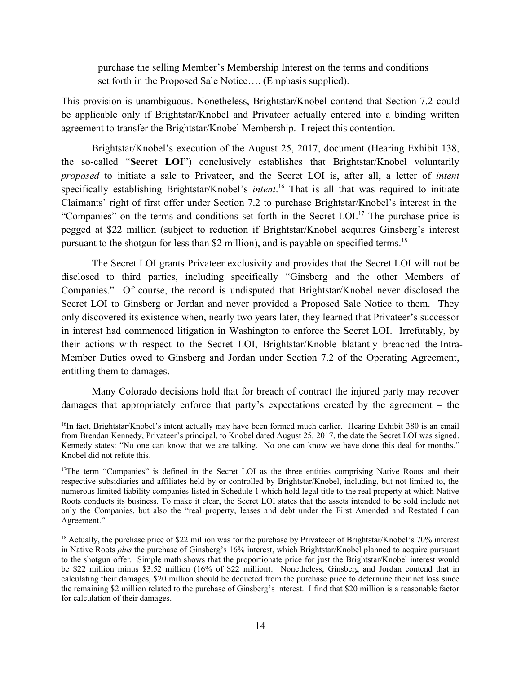purchase the selling Member's Membership Interest on the terms and conditions set forth in the Proposed Sale Notice…. (Emphasis supplied).

This provision is unambiguous. Nonetheless, Brightstar/Knobel contend that Section 7.2 could be applicable only if Brightstar/Knobel and Privateer actually entered into a binding written agreement to transfer the Brightstar/Knobel Membership. I reject this contention.

Brightstar/Knobel's execution of the August 25, 2017, document (Hearing Exhibit 138, the so-called "**Secret LOI**") conclusively establishes that Brightstar/Knobel voluntarily *proposed* to initiate a sale to Privateer, and the Secret LOI is, after all, a letter of *intent* specifically establishing Brightstar/Knobel's *intent*. 16 That is all that was required to initiate Claimants' right of first offer under Section 7.2 to purchase Brightstar/Knobel's interest in the "Companies" on the terms and conditions set forth in the Secret LOI. <sup>17</sup> The purchase price is pegged at \$22 million (subject to reduction if Brightstar/Knobel acquires Ginsberg's interest pursuant to the shotgun for less than \$2 million), and is payable on specified terms.<sup>18</sup>

The Secret LOI grants Privateer exclusivity and provides that the Secret LOI will not be disclosed to third parties, including specifically "Ginsberg and the other Members of Companies." Of course, the record is undisputed that Brightstar/Knobel never disclosed the Secret LOI to Ginsberg or Jordan and never provided a Proposed Sale Notice to them. They only discovered its existence when, nearly two years later, they learned that Privateer's successor in interest had commenced litigation in Washington to enforce the Secret LOI. Irrefutably, by their actions with respect to the Secret LOI, Brightstar/Knoble blatantly breached the Intra-Member Duties owed to Ginsberg and Jordan under Section 7.2 of the Operating Agreement, entitling them to damages.

Many Colorado decisions hold that for breach of contract the injured party may recover damages that appropriately enforce that party's expectations created by the agreement – the

<sup>&</sup>lt;sup>16</sup>In fact, Brightstar/Knobel's intent actually may have been formed much earlier. Hearing Exhibit 380 is an email from Brendan Kennedy, Privateer's principal, to Knobel dated August 25, 2017, the date the Secret LOI was signed. Kennedy states: "No one can know that we are talking. No one can know we have done this deal for months." Knobel did not refute this.

<sup>&</sup>lt;sup>17</sup>The term "Companies" is defined in the Secret LOI as the three entities comprising Native Roots and their respective subsidiaries and affiliates held by or controlled by Brightstar/Knobel, including, but not limited to, the numerous limited liability companies listed in Schedule 1 which hold legal title to the real property at which Native Roots conducts its business. To make it clear, the Secret LOI states that the assets intended to be sold include not only the Companies, but also the "real property, leases and debt under the First Amended and Restated Loan Agreement."

<sup>&</sup>lt;sup>18</sup> Actually, the purchase price of \$22 million was for the purchase by Privateeer of Brightstar/Knobel's 70% interest in Native Roots *plus* the purchase of Ginsberg's 16% interest, which Brightstar/Knobel planned to acquire pursuant to the shotgun offer. Simple math shows that the proportionate price for just the Brightstar/Knobel interest would be \$22 million minus \$3.52 million (16% of \$22 million). Nonetheless, Ginsberg and Jordan contend that in calculating their damages, \$20 million should be deducted from the purchase price to determine their net loss since the remaining \$2 million related to the purchase of Ginsberg's interest. I find that \$20 million is a reasonable factor for calculation of their damages.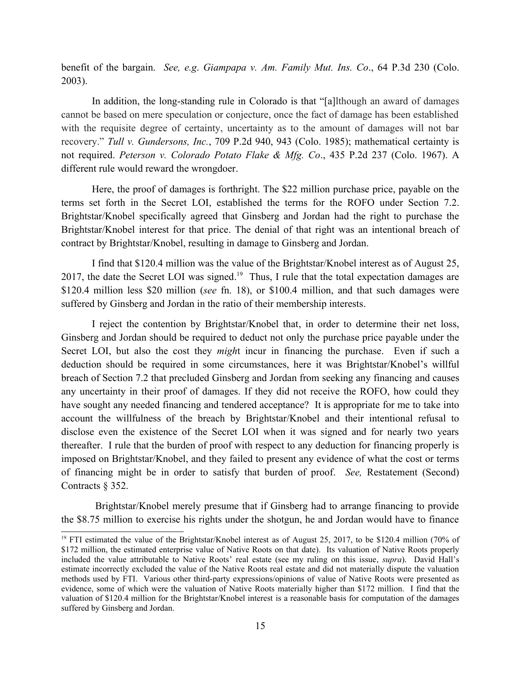benefit of the bargain. *See, e.g*. *Giampapa v. Am. Family Mut. Ins. Co*., 64 P.3d 230 (Colo. 2003).

In addition, the long-standing rule in Colorado is that "[a]lthough an award of damages cannot be based on mere speculation or conjecture, once the fact of damage has been established with the requisite degree of certainty, uncertainty as to the amount of damages will not bar recovery." *[Tull v. Gundersons, Inc.](https://plus.lexis.com/api/document/collection/cases/id/3RX4-1380-003D-907H-00000-00?cite=709%20P.2d%20940&context=1530671)*[, 709 P.2d 940, 943 \(Colo. 1985\)](https://plus.lexis.com/api/document/collection/cases/id/3RX4-1380-003D-907H-00000-00?cite=709%20P.2d%20940&context=1530671); mathematical certainty is not required. *Peterson v. Colorado Potato Flake & Mfg. Co*., 435 P.2d 237 (Colo. 1967). A different rule would reward the wrongdoer.

Here, the proof of damages is forthright. The \$22 million purchase price, payable on the terms set forth in the Secret LOI, established the terms for the ROFO under Section 7.2. Brightstar/Knobel specifically agreed that Ginsberg and Jordan had the right to purchase the Brightstar/Knobel interest for that price. The denial of that right was an intentional breach of contract by Brightstar/Knobel, resulting in damage to Ginsberg and Jordan.

I find that \$120.4 million was the value of the Brightstar/Knobel interest as of August 25, 2017, the date the Secret LOI was signed.<sup>19</sup> Thus, I rule that the total expectation damages are \$120.4 million less \$20 million (*see* fn. 18), or \$100.4 million, and that such damages were suffered by Ginsberg and Jordan in the ratio of their membership interests.

I reject the contention by Brightstar/Knobel that, in order to determine their net loss, Ginsberg and Jordan should be required to deduct not only the purchase price payable under the Secret LOI, but also the cost they *migh*t incur in financing the purchase. Even if such a deduction should be required in some circumstances, here it was Brightstar/Knobel's willful breach of Section 7.2 that precluded Ginsberg and Jordan from seeking any financing and causes any uncertainty in their proof of damages. If they did not receive the ROFO, how could they have sought any needed financing and tendered acceptance? It is appropriate for me to take into account the willfulness of the breach by Brightstar/Knobel and their intentional refusal to disclose even the existence of the Secret LOI when it was signed and for nearly two years thereafter. I rule that the burden of proof with respect to any deduction for financing properly is imposed on Brightstar/Knobel, and they failed to present any evidence of what the cost or terms of financing might be in order to satisfy that burden of proof. *See,* Restatement (Second) Contracts § 352.

Brightstar/Knobel merely presume that if Ginsberg had to arrange financing to provide the \$8.75 million to exercise his rights under the shotgun, he and Jordan would have to finance

<sup>&</sup>lt;sup>19</sup> FTI estimated the value of the Brightstar/Knobel interest as of August 25, 2017, to be \$120.4 million (70% of \$172 million, the estimated enterprise value of Native Roots on that date). Its valuation of Native Roots properly included the value attributable to Native Roots' real estate (see my ruling on this issue, *supra*). David Hall's estimate incorrectly excluded the value of the Native Roots real estate and did not materially dispute the valuation methods used by FTI. Various other third-party expressions/opinions of value of Native Roots were presented as evidence, some of which were the valuation of Native Roots materially higher than \$172 million. I find that the valuation of \$120.4 million for the Brightstar/Knobel interest is a reasonable basis for computation of the damages suffered by Ginsberg and Jordan.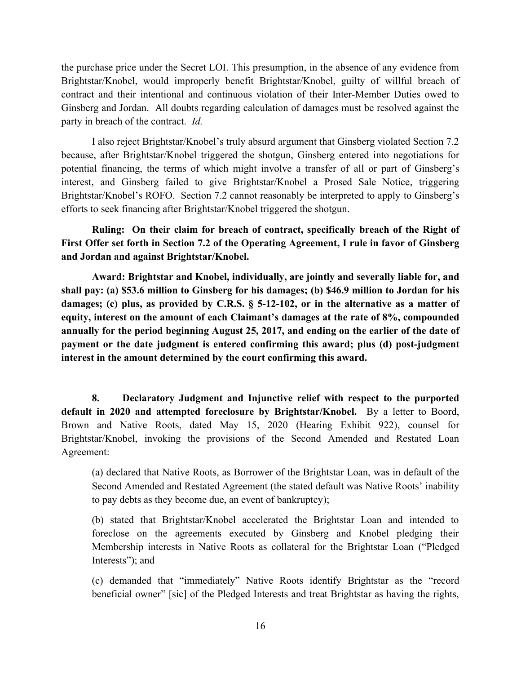the purchase price under the Secret LOI. This presumption, in the absence of any evidence from Brightstar/Knobel, would improperly benefit Brightstar/Knobel, guilty of willful breach of contract and their intentional and continuous violation of their Inter-Member Duties owed to Ginsberg and Jordan. All doubts regarding calculation of damages must be resolved against the party in breach of the contract. *Id.*

I also reject Brightstar/Knobel's truly absurd argument that Ginsberg violated Section 7.2 because, after Brightstar/Knobel triggered the shotgun, Ginsberg entered into negotiations for potential financing, the terms of which might involve a transfer of all or part of Ginsberg's interest, and Ginsberg failed to give Brightstar/Knobel a Prosed Sale Notice, triggering Brightstar/Knobel's ROFO. Section 7.2 cannot reasonably be interpreted to apply to Ginsberg's efforts to seek financing after Brightstar/Knobel triggered the shotgun.

**Ruling: On their claim for breach of contract, specifically breach of the Right of First Offer set forth in Section 7.2 of the Operating Agreement, I rule in favor of Ginsberg and Jordan and against Brightstar/Knobel.**

**Award: Brightstar and Knobel, individually, are jointly and severally liable for, and shall pay: (a) \$53.6 million to Ginsberg for his damages; (b) \$46.9 million to Jordan for his damages; (c) plus, as provided by C.R.S. § 5-12-102, or in the alternative as a matter of equity, interest on the amount of each Claimant's damages at the rate of 8%, compounded annually for the period beginning August 25, 2017, and ending on the earlier of the date of payment or the date judgment is entered confirming this award; plus (d) post-judgment interest in the amount determined by the court confirming this award.** 

**8. Declaratory Judgment and Injunctive relief with respect to the purported default in 2020 and attempted foreclosure by Brightstar/Knobel.** By a letter to Boord, Brown and Native Roots, dated May 15, 2020 (Hearing Exhibit 922), counsel for Brightstar/Knobel, invoking the provisions of the Second Amended and Restated Loan Agreement:

(a) declared that Native Roots, as Borrower of the Brightstar Loan, was in default of the Second Amended and Restated Agreement (the stated default was Native Roots' inability to pay debts as they become due, an event of bankruptcy);

(b) stated that Brightstar/Knobel accelerated the Brightstar Loan and intended to foreclose on the agreements executed by Ginsberg and Knobel pledging their Membership interests in Native Roots as collateral for the Brightstar Loan ("Pledged Interests"); and

(c) demanded that "immediately" Native Roots identify Brightstar as the "record beneficial owner" [sic] of the Pledged Interests and treat Brightstar as having the rights,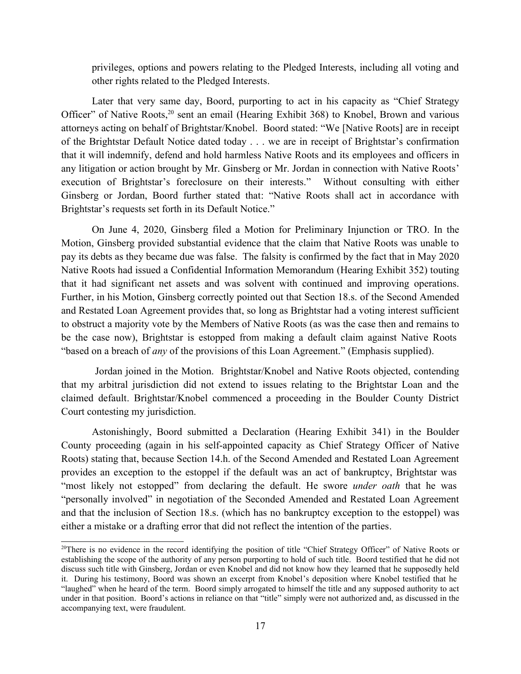privileges, options and powers relating to the Pledged Interests, including all voting and other rights related to the Pledged Interests.

Later that very same day, Boord, purporting to act in his capacity as "Chief Strategy Officer" of Native Roots,<sup>20</sup> sent an email (Hearing Exhibit 368) to Knobel, Brown and various attorneys acting on behalf of Brightstar/Knobel. Boord stated: "We [Native Roots] are in receipt of the Brightstar Default Notice dated today . . . we are in receipt of Brightstar's confirmation that it will indemnify, defend and hold harmless Native Roots and its employees and officers in any litigation or action brought by Mr. Ginsberg or Mr. Jordan in connection with Native Roots' execution of Brightstar's foreclosure on their interests." Without consulting with either Ginsberg or Jordan, Boord further stated that: "Native Roots shall act in accordance with Brightstar's requests set forth in its Default Notice."

On June 4, 2020, Ginsberg filed a Motion for Preliminary Injunction or TRO. In the Motion, Ginsberg provided substantial evidence that the claim that Native Roots was unable to pay its debts as they became due was false. The falsity is confirmed by the fact that in May 2020 Native Roots had issued a Confidential Information Memorandum (Hearing Exhibit 352) touting that it had significant net assets and was solvent with continued and improving operations. Further, in his Motion, Ginsberg correctly pointed out that Section 18.s. of the Second Amended and Restated Loan Agreement provides that, so long as Brightstar had a voting interest sufficient to obstruct a majority vote by the Members of Native Roots (as was the case then and remains to be the case now), Brightstar is estopped from making a default claim against Native Roots "based on a breach of *any* of the provisions of this Loan Agreement." (Emphasis supplied).

 Jordan joined in the Motion. Brightstar/Knobel and Native Roots objected, contending that my arbitral jurisdiction did not extend to issues relating to the Brightstar Loan and the claimed default. Brightstar/Knobel commenced a proceeding in the Boulder County District Court contesting my jurisdiction.

Astonishingly, Boord submitted a Declaration (Hearing Exhibit 341) in the Boulder County proceeding (again in his self-appointed capacity as Chief Strategy Officer of Native Roots) stating that, because Section 14.h. of the Second Amended and Restated Loan Agreement provides an exception to the estoppel if the default was an act of bankruptcy, Brightstar was "most likely not estopped" from declaring the default. He swore *under oath* that he was "personally involved" in negotiation of the Seconded Amended and Restated Loan Agreement and that the inclusion of Section 18.s. (which has no bankruptcy exception to the estoppel) was either a mistake or a drafting error that did not reflect the intention of the parties.

<sup>&</sup>lt;sup>20</sup>There is no evidence in the record identifying the position of title "Chief Strategy Officer" of Native Roots or establishing the scope of the authority of any person purporting to hold of such title. Boord testified that he did not discuss such title with Ginsberg, Jordan or even Knobel and did not know how they learned that he supposedly held it. During his testimony, Boord was shown an excerpt from Knobel's deposition where Knobel testified that he "laughed" when he heard of the term. Boord simply arrogated to himself the title and any supposed authority to act under in that position. Boord's actions in reliance on that "title" simply were not authorized and, as discussed in the accompanying text, were fraudulent.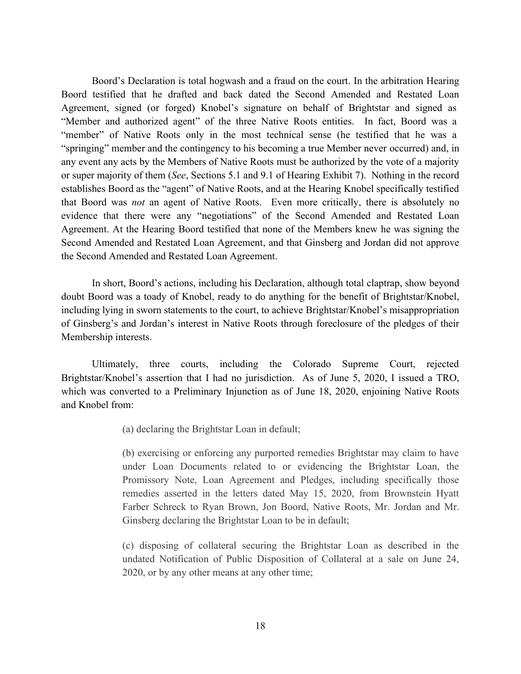Boord's Declaration is total hogwash and a fraud on the court. In the arbitration Hearing Boord testified that he drafted and back dated the Second Amended and Restated Loan Agreement, signed (or forged) Knobel's signature on behalf of Brightstar and signed as "Member and authorized agent" of the three Native Roots entities. In fact, Boord was a "member" of Native Roots only in the most technical sense (he testified that he was a "springing" member and the contingency to his becoming a true Member never occurred) and, in any event any acts by the Members of Native Roots must be authorized by the vote of a majority or super majority of them (*See*, Sections 5.1 and 9.1 of Hearing Exhibit 7). Nothing in the record establishes Boord as the "agent" of Native Roots, and at the Hearing Knobel specifically testified that Boord was *not* an agent of Native Roots. Even more critically, there is absolutely no evidence that there were any "negotiations" of the Second Amended and Restated Loan Agreement. At the Hearing Boord testified that none of the Members knew he was signing the Second Amended and Restated Loan Agreement, and that Ginsberg and Jordan did not approve the Second Amended and Restated Loan Agreement.

In short, Boord's actions, including his Declaration, although total claptrap, show beyond doubt Boord was a toady of Knobel, ready to do anything for the benefit of Brightstar/Knobel, including lying in sworn statements to the court, to achieve Brightstar/Knobel's misappropriation of Ginsberg's and Jordan's interest in Native Roots through foreclosure of the pledges of their Membership interests.

Ultimately, three courts, including the Colorado Supreme Court, rejected Brightstar/Knobel's assertion that I had no jurisdiction. As of June 5, 2020, I issued a TRO, which was converted to a Preliminary Injunction as of June 18, 2020, enjoining Native Roots and Knobel from:

(a) declaring the Brightstar Loan in default;

(b) exercising or enforcing any purported remedies Brightstar may claim to have under Loan Documents related to or evidencing the Brightstar Loan, the Promissory Note, Loan Agreement and Pledges, including specifically those remedies asserted in the letters dated May 15, 2020, from Brownstein Hyatt Farber Schreck to Ryan Brown, Jon Boord, Native Roots, Mr. Jordan and Mr. Ginsberg declaring the Brightstar Loan to be in default;

(c) disposing of collateral securing the Brightstar Loan as described in the undated Notification of Public Disposition of Collateral at a sale on June 24, 2020, or by any other means at any other time;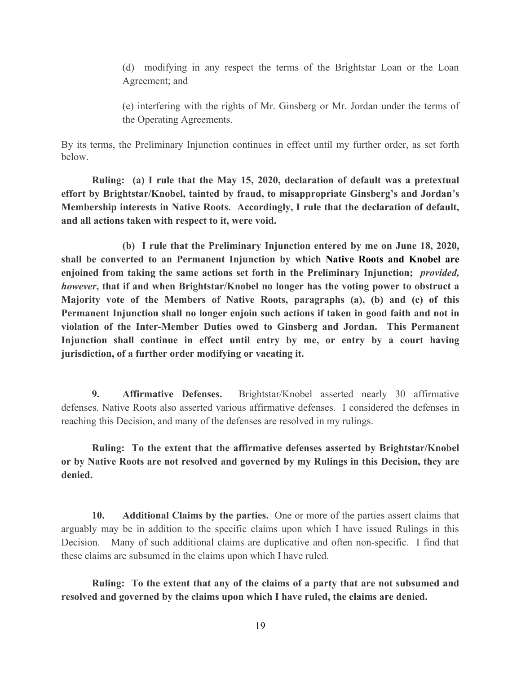(d) modifying in any respect the terms of the Brightstar Loan or the Loan Agreement; and

(e) interfering with the rights of Mr. Ginsberg or Mr. Jordan under the terms of the Operating Agreements.

By its terms, the Preliminary Injunction continues in effect until my further order, as set forth below.

**Ruling: (a) I rule that the May 15, 2020, declaration of default was a pretextual effort by Brightstar/Knobel, tainted by fraud, to misappropriate Ginsberg's and Jordan's Membership interests in Native Roots. Accordingly, I rule that the declaration of default, and all actions taken with respect to it, were void.**

**(b) I rule that the Preliminary Injunction entered by me on June 18, 2020, shall be converted to an Permanent Injunction by which Native Roots and Knobel are enjoined from taking the same actions set forth in the Preliminary Injunction;** *provided, however***, that if and when Brightstar/Knobel no longer has the voting power to obstruct a Majority vote of the Members of Native Roots, paragraphs (a), (b) and (c) of this Permanent Injunction shall no longer enjoin such actions if taken in good faith and not in violation of the Inter-Member Duties owed to Ginsberg and Jordan. This Permanent Injunction shall continue in effect until entry by me, or entry by a court having jurisdiction, of a further order modifying or vacating it.**

**9. Affirmative Defenses.** Brightstar/Knobel asserted nearly 30 affirmative defenses. Native Roots also asserted various affirmative defenses. I considered the defenses in reaching this Decision, and many of the defenses are resolved in my rulings.

**Ruling: To the extent that the affirmative defenses asserted by Brightstar/Knobel or by Native Roots are not resolved and governed by my Rulings in this Decision, they are denied.**

**10. Additional Claims by the parties.** One or more of the parties assert claims that arguably may be in addition to the specific claims upon which I have issued Rulings in this Decision. Many of such additional claims are duplicative and often non-specific. I find that these claims are subsumed in the claims upon which I have ruled.

**Ruling: To the extent that any of the claims of a party that are not subsumed and resolved and governed by the claims upon which I have ruled, the claims are denied.**